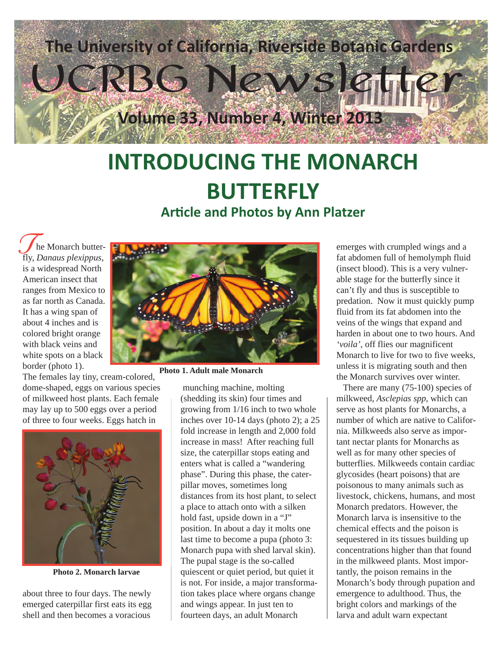

### **INTRODUCING THE MONARCH BUTTERFLY Article and Photos by Ann Platzer**

 he Monarch butterfly, *Danaus plexippus*, is a widespread North American insect that ranges from Mexico to as far north as Canada. It has a wing span of about 4 inches and is colored bright orange with black veins and white spots on a black border (photo 1).

The females lay tiny, cream-colored, dome-shaped, eggs on various species of milkweed host plants. Each female may lay up to 500 eggs over a period of three to four weeks. Eggs hatch in



**Photo 2. Monarch larvae**

about three to four days. The newly emerged caterpillar first eats its egg shell and then becomes a voracious



**Photo 1. Adult male Monarch**

 munching machine, molting (shedding its skin) four times and growing from 1/16 inch to two whole inches over 10-14 days (photo 2); a 25 fold increase in length and 2,000 fold increase in mass! After reaching full size, the caterpillar stops eating and enters what is called a "wandering phase". During this phase, the caterpillar moves, sometimes long distances from its host plant, to select a place to attach onto with a silken hold fast, upside down in a "J" position. In about a day it molts one last time to become a pupa (photo 3: Monarch pupa with shed larval skin). The pupal stage is the so-called quiescent or quiet period, but quiet it is not. For inside, a major transformation takes place where organs change and wings appear. In just ten to fourteen days, an adult Monarch

fat abdomen full of hemolymph fluid (insect blood). This is a very vulnerable stage for the butterfly since it can't fly and thus is susceptible to predation. Now it must quickly pump fluid from its fat abdomen into the veins of the wings that expand and harden in about one to two hours. And *'voila'*, off flies our magnificent Monarch to live for two to five weeks, unless it is migrating south and then the Monarch survives over winter.

 There are many (75-100) species of milkweed, *Asclepias spp*, which can serve as host plants for Monarchs, a number of which are native to California. Milkweeds also serve as important nectar plants for Monarchs as well as for many other species of butterflies. Milkweeds contain cardiac glycosides (heart poisons) that are poisonous to many animals such as livestock, chickens, humans, and most Monarch predators. However, the Monarch larva is insensitive to the chemical effects and the poison is sequestered in its tissues building up concentrations higher than that found in the milkweed plants. Most importantly, the poison remains in the Monarch's body through pupation and emergence to adulthood. Thus, the bright colors and markings of the larva and adult warn expectant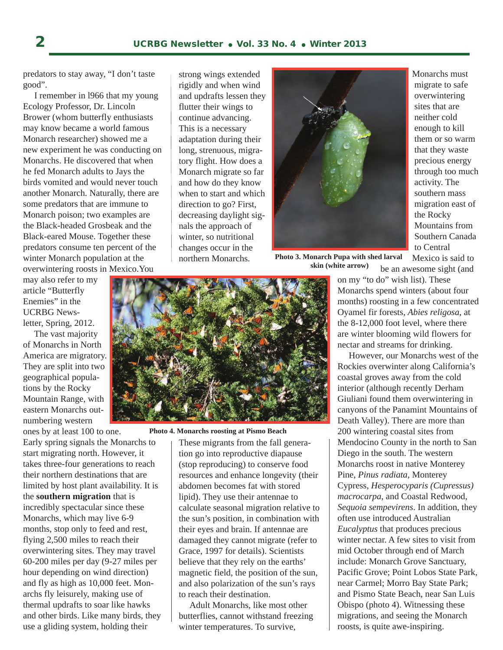predators to stay away, "I don't taste good".

 I remember in l966 that my young Ecology Professor, Dr. Lincoln Brower (whom butterfly enthusiasts may know became a world famous Monarch researcher) showed me a new experiment he was conducting on Monarchs. He discovered that when he fed Monarch adults to Jays the birds vomited and would never touch another Monarch. Naturally, there are some predators that are immune to Monarch poison; two examples are the Black-headed Grosbeak and the Black-eared Mouse. Together these predators consume ten percent of the winter Monarch population at the overwintering roosts in Mexico.You

may also refer to my article "Butterfly Enemies" in the UCRBG Newsletter, Spring, 2012.

 The vast majority of Monarchs in North America are migratory. They are split into two geographical populations by the Rocky Mountain Range, with eastern Monarchs outnumbering western

ones by at least 100 to one. Early spring signals the Monarchs to start migrating north. However, it takes three-four generations to reach their northern destinations that are limited by host plant availability. It is the **southern migration** that is incredibly spectacular since these Monarchs, which may live 6-9 months, stop only to feed and rest, flying 2,500 miles to reach their overwintering sites. They may travel 60-200 miles per day (9-27 miles per hour depending on wind direction) and fly as high as 10,000 feet. Monarchs fly leisurely, making use of thermal updrafts to soar like hawks and other birds. Like many birds, they use a gliding system, holding their

strong wings extended rigidly and when wind and updrafts lessen they flutter their wings to continue advancing. This is a necessary adaptation during their long, strenuous, migratory flight. How does a Monarch migrate so far and how do they know when to start and which direction to go? First, decreasing daylight signals the approach of winter, so nutritional changes occur in the northern Monarchs.



**Photo 3. Monarch Pupa with shed larval skin (white arrow)**

 Monarchs must migrate to safe overwintering sites that are neither cold enough to kill them or so warm that they waste precious energy through too much activity. The southern mass migration east of the Rocky Mountains from Southern Canada to Central

 Mexico is said to be an awesome sight (and



**Photo 4. Monarchs roosting at Pismo Beach**

These migrants from the fall generation go into reproductive diapause (stop reproducing) to conserve food resources and enhance longevity (their abdomen becomes fat with stored lipid). They use their antennae to calculate seasonal migration relative to the sun's position, in combination with their eyes and brain. If antennae are damaged they cannot migrate (refer to Grace, 1997 for details). Scientists believe that they rely on the earths' magnetic field, the position of the sun, and also polarization of the sun's rays to reach their destination.

 Adult Monarchs, like most other butterflies, cannot withstand freezing winter temperatures. To survive,

on my "to do" wish list). These Monarchs spend winters (about four months) roosting in a few concentrated Oyamel fir forests, *Abies religosa*, at the 8-12,000 foot level, where there are winter blooming wild flowers for nectar and streams for drinking.

 However, our Monarchs west of the Rockies overwinter along California's coastal groves away from the cold interior (although recently Derham Giuliani found them overwintering in canyons of the Panamint Mountains of Death Valley). There are more than 200 wintering coastal sites from Mendocino County in the north to San Diego in the south. The western Monarchs roost in native Monterey Pine, *Pinus radiata*, Monterey Cypress, *Hesperocyparis (Cupressus) macrocarpa*, and Coastal Redwood, *Sequoia sempevirens*. In addition, they often use introduced Australian *Eucalyptus* that produces precious winter nectar. A few sites to visit from mid October through end of March include: Monarch Grove Sanctuary, Pacific Grove; Point Lobos State Park, near Carmel; Morro Bay State Park; and Pismo State Beach, near San Luis Obispo (photo 4). Witnessing these migrations, and seeing the Monarch roosts, is quite awe-inspiring.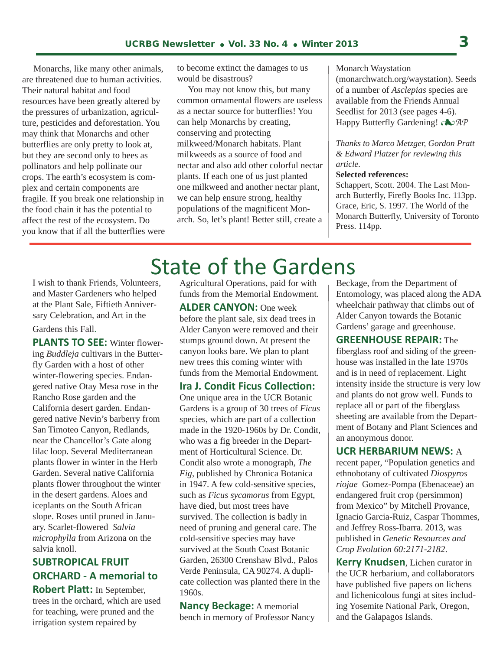Monarchs, like many other animals, are threatened due to human activities. Their natural habitat and food resources have been greatly altered by the pressures of urbanization, agriculture, pesticides and deforestation. You may think that Monarchs and other butterflies are only pretty to look at, but they are second only to bees as pollinators and help pollinate our crops. The earth's ecosystem is complex and certain components are fragile. If you break one relationship in the food chain it has the potential to affect the rest of the ecosystem. Do you know that if all the butterflies were to become extinct the damages to us would be disastrous?

 You may not know this, but many common ornamental flowers are useless as a nectar source for butterflies! You can help Monarchs by creating, conserving and protecting milkweed/Monarch habitats. Plant milkweeds as a source of food and nectar and also add other colorful nectar plants. If each one of us just planted one milkweed and another nectar plant, we can help ensure strong, healthy populations of the magnificent Monarch. So, let's plant! Better still, create a

Monarch Waystation (monarchwatch.org/waystation). Seeds of a number of *Asclepias* species are available from the Friends Annual Seedlist for 2013 (see pages 4-6).

Happy Butterfly Gardening! *AP*

*Thanks to Marco Metzger, Gordon Pratt & Edward Platzer for reviewing this article.*

#### **Selected references:**

Schappert, Scott. 2004. The Last Monarch Butterfly, Firefly Books Inc. 113pp. Grace, Eric, S. 1997. The World of the Monarch Butterfly, University of Toronto Press. 114pp.

I wish to thank Friends, Volunteers, and Master Gardeners who helped at the Plant Sale, Fiftieth Anniversary Celebration, and Art in the

#### Gardens this Fall.

**PLANTS TO SEE:** Winter flowering *Buddleja* cultivars in the Butterfly Garden with a host of other winter-flowering species. Endangered native Otay Mesa rose in the Rancho Rose garden and the California desert garden. Endangered native Nevin's barberry from San Timoteo Canyon, Redlands, near the Chancellor's Gate along lilac loop. Several Mediterranean plants flower in winter in the Herb Garden. Several native California plants flower throughout the winter in the desert gardens. Aloes and iceplants on the South African slope. Roses until pruned in January. Scarlet-flowered *Salvia microphylla* from Arizona on the salvia knoll.

#### **SUBTROPICAL FRUIT ORCHARD - A memorial to**

**Robert Platt:** In September, trees in the orchard, which are used for teaching, were pruned and the irrigation system repaired by

# State of the Gardens

l

Agricultural Operations, paid for with funds from the Memorial Endowment. **ALDER CANYON:** One week before the plant sale, six dead trees in Alder Canyon were removed and their stumps ground down. At present the canyon looks bare. We plan to plant new trees this coming winter with funds from the Memorial Endowment.

#### **Ira J. Condit Ficus Collection:**

One unique area in the UCR Botanic Gardens is a group of 30 trees of *Ficus*  species, which are part of a collection made in the 1920-1960s by Dr. Condit, who was a fig breeder in the Department of Horticultural Science. Dr. Condit also wrote a monograph, *The Fig*, published by Chronica Botanica in 1947. A few cold-sensitive species, such as *Ficus sycamorus* from Egypt, have died, but most trees have survived. The collection is badly in need of pruning and general care. The cold-sensitive species may have survived at the South Coast Botanic Garden, 26300 Crenshaw Blvd., Palos Verde Peninsula, CA 90274. A duplicate collection was planted there in the 1960s.

**Nancy Beckage:** A memorial bench in memory of Professor Nancy Beckage, from the Department of Entomology, was placed along the ADA wheelchair pathway that climbs out of Alder Canyon towards the Botanic Gardens' garage and greenhouse.

**GREENHOUSE REPAIR:** The fiberglass roof and siding of the greenhouse was installed in the late 1970s and is in need of replacement. Light intensity inside the structure is very low and plants do not grow well. Funds to replace all or part of the fiberglass sheeting are available from the Department of Botany and Plant Sciences and an anonymous donor.

#### **UCR HERBARIUM NEWS:** A

recent paper, "Population genetics and ethnobotany of cultivated *Diospyros riojae* Gomez-Pompa (Ebenaceae) an endangered fruit crop (persimmon) from Mexico" by Mitchell Provance, Ignacio Garcia-Ruiz, Caspar Thommes, and Jeffrey Ross-Ibarra. 2013, was published in *Genetic Resources and Crop Evolution 60:2171-2182*.

**Kerry Knudsen**, Lichen curator in the UCR herbarium, and collaborators have published five papers on lichens and lichenicolous fungi at sites including Yosemite National Park, Oregon, and the Galapagos Islands.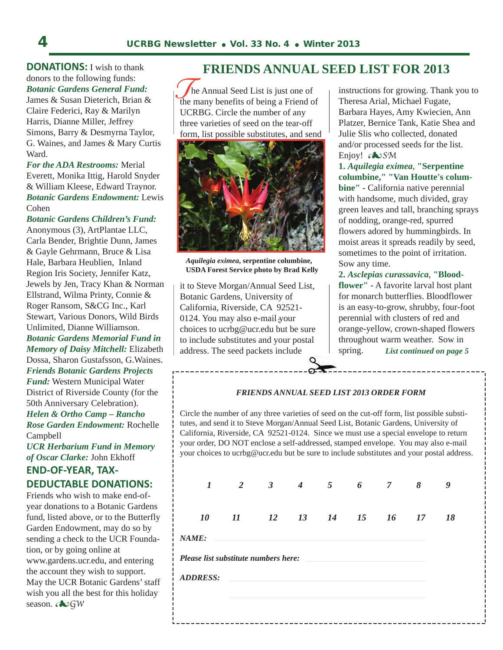**DONATIONS:** I wish to thank donors to the following funds: *Botanic Gardens General Fund:*

James & Susan Dieterich, Brian & Claire Federici, Ray & Marilyn Harris, Dianne Miller, Jeffrey Simons, Barry & Desmyrna Taylor, G. Waines, and James & Mary Curtis Ward.

*For the ADA Restrooms:* Merial Everett, Monika Ittig, Harold Snyder & William Kleese, Edward Traynor. *Botanic Gardens Endowment:* Lewis Cohen

*Botanic Gardens Children's Fund:* Anonymous (3), ArtPlantae LLC, Carla Bender, Brightie Dunn, James & Gayle Gehrmann, Bruce & Lisa Hale, Barbara Heublien, Inland Region Iris Society, Jennifer Katz, Jewels by Jen, Tracy Khan & Norman Ellstrand, Wilma Printy, Connie & Roger Ransom, S&CG Inc., Karl Stewart, Various Donors, Wild Birds Unlimited, Dianne Williamson. *Botanic Gardens Memorial Fund in Memory of Daisy Mitchell:* Elizabeth Dossa, Sharon Gustafsson, G.Waines. *Friends Botanic Gardens Projects Fund:* Western Municipal Water District of Riverside County (for the 50th Anniversary Celebration). *Helen & Ortho Camp – Rancho Rose Garden Endowment:* Rochelle Campbell

*UCR Herbarium Fund in Memory of Oscar Clarke:* John Ekhoff

#### **END-OF-YEAR, TAX-**

#### **DEDUCTABLE DONATIONS:**

Friends who wish to make end-ofyear donations to a Botanic Gardens fund, listed above, or to the Butterfly Garden Endowment, may do so by sending a check to the UCR Foundation, or by going online at www.gardens.ucr.edu, and entering the account they wish to support. May the UCR Botanic Gardens' staff wish you all the best for this holiday season. **Example** 

#### **FRIENDS ANNUAL SEED LIST FOR 2013**

The Annual Seed List is just one of<br>
the many benefits of being a Friend of he Annual Seed List is just one of UCRBG. Circle the number of any three varieties of seed on the tear-off form, list possible substitutes, and send



*Aquilegia eximea***, serpentine columbine, USDA Forest Service photo by Brad Kelly**

it to Steve Morgan/Annual Seed List, Botanic Gardens, University of California, Riverside, CA 92521- 0124. You may also e-mail your **:** choices to ucrbg@ucr.edu but be sure to include substitutes and your postal address. The seed packets include

instructions for growing. Thank you to Theresa Arial, Michael Fugate, Barbara Hayes, Amy Kwiecien, Ann Platzer, Bernice Tank, Katie Shea and Julie Slis who collected, donated and/or processed seeds for the list. Enjoy! **Endered** 

**1.** *Aquilegia eximea*, **"Serpentine columbine," "Van Houtte's columbine"** - California native perennial with handsome, much divided, gray green leaves and tall, branching sprays of nodding, orange-red, spurred flowers adored by hummingbirds. In moist areas it spreads readily by seed, sometimes to the point of irritation. Sow any time.

**2.** *Asclepias curassavica*, **"Bloodflower"** - A favorite larval host plant for monarch butterflies. Bloodflower is an easy-to-grow, shrubby, four-foot perennial with clusters of red and orange-yellow, crown-shaped flowers throughout warm weather. Sow in spring. *List continued on page 5*

#### *FRIENDS ANNUAL SEED LIST 2013 ORDER FORM*

Circle the number of any three varieties of seed on the cut-off form, list possible substitutes, and send it to Steve Morgan/Annual Seed List, Botanic Gardens, University of California, Riverside, CA 92521-0124. Since we must use a special envelope to return your order, DO NOT enclose a self-addressed, stamped envelope. You may also e-mail your choices to ucrbg@ucr.edu but be sure to include substitutes and your postal address.

|                                                                           | $1$ 2 3 4 5 6 7 8 9        |  |  |  |  |
|---------------------------------------------------------------------------|----------------------------|--|--|--|--|
|                                                                           | 10 11 12 13 14 15 16 17 18 |  |  |  |  |
| NAME:                                                                     |                            |  |  |  |  |
| Please list substitute numbers here: example and substitute numbers here: |                            |  |  |  |  |
| <b>ADDRESS:</b>                                                           |                            |  |  |  |  |
|                                                                           |                            |  |  |  |  |
|                                                                           |                            |  |  |  |  |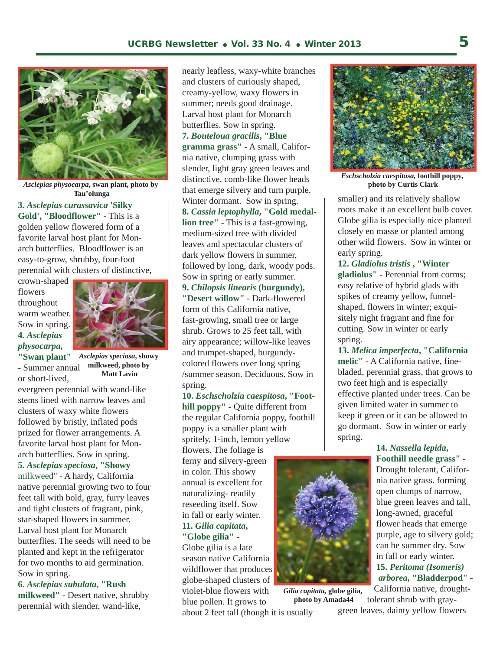

*Asclepias physocarpa***, swan plant, photo by Tau'olunga**

**3.** *Asclepias curassavica* **'Silky Gold', "Bloodflower"** - This is a golden yellow flowered form of a favorite larval host plant for Monarch butterflies. Bloodflower is an easy-to-grow, shrubby, four-foot perennial with clusters of distinctive,

crown-shaped flowers throughout warm weather. Sow in spring. **4.** *Asclepias physocarpa***,** 



*Asclepias speciosa***, showy "Swan plant"** - Summer annual or short-lived,

**milkweed, photo by Matt Lavin**

evergreen perennial with wand-like stems lined with narrow leaves and clusters of waxy white flowers followed by bristly, inflated pods prized for flower arrangements. A favorite larval host plant for Monarch butterflies. Sow in spring.

**5.** *Asclepias speciosa***, "Showy**

milkweed" - A hardy, California native perennial growing two to four feet tall with bold, gray, furry leaves and tight clusters of fragrant, pink, star-shaped flowers in summer. Larval host plant for Monarch butterflies. The seeds will need to be planted and kept in the refrigerator for two months to aid germination. Sow in spring.

**6.** *Asclepias subulata***, "Rush milkweed"** - Desert native, shrubby perennial with slender, wand-like,

nearly leafless, waxy-white branches and clusters of curiously shaped, creamy-yellow, waxy flowers in summer; needs good drainage. Larval host plant for Monarch butterflies. Sow in spring.

**7.** *Bouteloua gracilis***, "Blue gramma grass"** - A small, California native, clumping grass with slender, light gray green leaves and distinctive, comb-like flower heads that emerge silvery and turn purple. Winter dormant. Sow in spring. **8.** *Cassia leptophylla***, "Gold medallion tree"** - This is a fast-growing, medium-sized tree with divided leaves and spectacular clusters of dark yellow flowers in summer, followed by long, dark, woody pods. Sow in spring or early summer. **9.** *Chilopsis linearis* **(burgundy),** 

**"Desert willow"** - Dark-flowered form of this California native, fast-growing, small tree or large shrub. Grows to 25 feet tall, with airy appearance; willow-like leaves and trumpet-shaped, burgundycolored flowers over long spring /summer season. Deciduous. Sow in spring.

**10.** *Eschscholzia caespitosa***, "Foothill poppy"** - Quite different from the regular California poppy, foothill poppy is a smaller plant with spritely, 1-inch, lemon yellow

flowers. The foliage is ferny and silvery-green in color. This showy annual is excellent for naturalizing- readily reseeding itself. Sow in fall or early winter. **11.** *Gilia capitata***, "Globe gilia"** -

Globe gilia is a late season native California wildflower that produces globe-shaped clusters of violet-blue flowers with blue pollen. It grows to

about 2 feet tall (though it is usually

*Gilia capitata,* **globe gilia, photo by Amada44**



*Eschscholzia caespitosa,* **foothill poppy, photo by Curtis Clark**

smaller) and its relatively shallow roots make it an excellent bulb cover. Globe gilia is especially nice planted closely en masse or planted among other wild flowers. Sow in winter or early spring.

**12.** *Gladiolus tristis* **, "Winter gladiolus"** - Perennial from corms; easy relative of hybrid glads with spikes of creamy yellow, funnelshaped, flowers in winter; exquisitely night fragrant and fine for cutting. Sow in winter or early spring.

**13.** *Melica imperfecta***, "California melic"** - A California native, finebladed, perennial grass, that grows to two feet high and is especially effective planted under trees. Can be given limited water in summer to keep it green or it can be allowed to go dormant. Sow in winter or early spring.

#### **14.** *Nassella lepida***, Foothill needle grass"** - Drought tolerant, Califor nia native grass. forming open clumps of narrow, blue green leaves and tall, long-awned, graceful flower heads that emerge purple, age to silvery gold; can be summer dry. Sow in fall or early winter.  **15.** *Peritoma (Isomeris) arborea***, "Bladderpod"** -

 California native, drought tolerant shrub with gray-

green leaves, dainty yellow flowers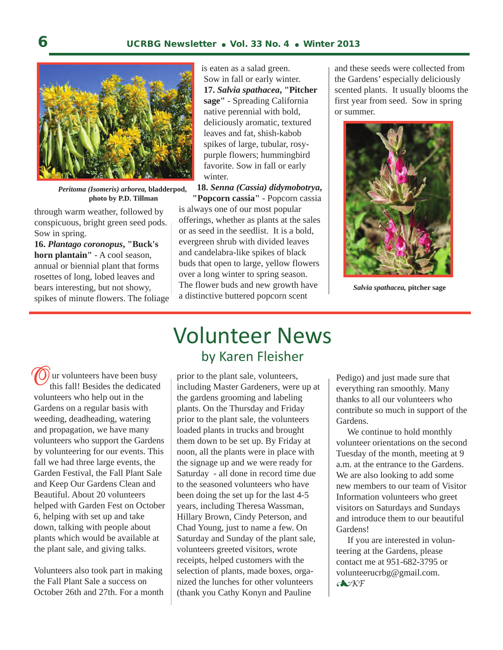

*Peritoma (Isomeris) arborea,* **bladderpod, photo by P.D. Tillman**

through warm weather, followed by conspicuous, bright green seed pods. Sow in spring.

**16.** *Plantago coronopus***, "Buck's horn plantain"** - A cool season, annual or biennial plant that forms rosettes of long, lobed leaves and bears interesting, but not showy, spikes of minute flowers. The foliage  is eaten as a salad green. Sow in fall or early winter.  **17.** *Salvia spathacea***, "Pitcher sage"** - Spreading California native perennial with bold, deliciously aromatic, textured leaves and fat, shish-kabob spikes of large, tubular, rosy purple flowers; hummingbird favorite. Sow in fall or early winter.

**18.** *Senna (Cassia) didymobotrya***,** 

 **"Popcorn cassia"** - Popcorn cassia is always one of our most popular offerings, whether as plants at the sales or as seed in the seedlist. It is a bold, evergreen shrub with divided leaves and candelabra-like spikes of black buds that open to large, yellow flowers over a long winter to spring season. The flower buds and new growth have a distinctive buttered popcorn scent

and these seeds were collected from the Gardens' especially deliciously scented plants. It usually blooms the first year from seed. Sow in spring or summer.



*Salvia spathacea,* **pitcher sage**

(a) ur volunteers have been busy this fall! Besides the dedicated volunteers who help out in the Gardens on a regular basis with weeding, deadheading, watering and propagation, we have many volunteers who support the Gardens by volunteering for our events. This fall we had three large events, the Garden Festival, the Fall Plant Sale and Keep Our Gardens Clean and Beautiful. About 20 volunteers helped with Garden Fest on October 6, helping with set up and take down, talking with people about plants which would be available at the plant sale, and giving talks. **O**

Volunteers also took part in making the Fall Plant Sale a success on October 26th and 27th. For a month

### Volunteer News by Karen Fleisher

prior to the plant sale, volunteers, including Master Gardeners, were up at the gardens grooming and labeling plants. On the Thursday and Friday prior to the plant sale, the volunteers loaded plants in trucks and brought them down to be set up. By Friday at noon, all the plants were in place with the signage up and we were ready for Saturday - all done in record time due to the seasoned volunteers who have been doing the set up for the last 4-5 years, including Theresa Wassman, Hillary Brown, Cindy Peterson, and Chad Young, just to name a few. On Saturday and Sunday of the plant sale, volunteers greeted visitors, wrote receipts, helped customers with the selection of plants, made boxes, organized the lunches for other volunteers (thank you Cathy Konyn and Pauline

Pedigo) and just made sure that everything ran smoothly. Many thanks to all our volunteers who contribute so much in support of the Gardens.

 We continue to hold monthly volunteer orientations on the second Tuesday of the month, meeting at 9 a.m. at the entrance to the Gardens. We are also looking to add some new members to our team of Visitor Information volunteers who greet visitors on Saturdays and Sundays and introduce them to our beautiful Gardens!

 If you are interested in volunteering at the Gardens, please contact me at 951-682-3795 or volunteerucrbg@gmail.com. *KF*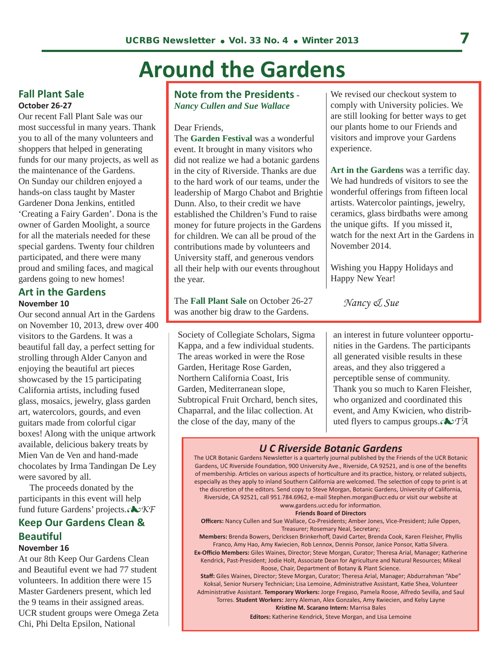# **Around the Gardens**

#### **Fall Plant Sale October 26-27**

Our recent Fall Plant Sale was our most successful in many years. Thank you to all of the many volunteers and shoppers that helped in generating funds for our many projects, as well as the maintenance of the Gardens. On Sunday our children enjoyed a hands-on class taught by Master Gardener Dona Jenkins, entitled 'Creating a Fairy Garden'. Dona is the owner of Garden Moolight, a source for all the materials needed for these special gardens. Twenty four children participated, and there were many proud and smiling faces, and magical gardens going to new homes!

#### **Art in the Gardens November 10**

Our second annual Art in the Gardens on November 10, 2013, drew over 400 visitors to the Gardens. It was a beautiful fall day, a perfect setting for strolling through Alder Canyon and enjoying the beautiful art pieces showcased by the 15 participating California artists, including fused glass, mosaics, jewelry, glass garden art, watercolors, gourds, and even guitars made from colorful cigar boxes! Along with the unique artwork available, delicious bakery treats by Mien Van de Ven and hand-made chocolates by Irma Tandingan De Ley were savored by all.

 The proceeds donated by the participants in this event will help fund future Gardens' projects. $\sqrt{\mathbf{K}F}$ 

### **Keep Our Gardens Clean & Beautiful**

#### **November 16**

At our 8th Keep Our Gardens Clean and Beautiful event we had 77 student volunteers. In addition there were 15 Master Gardeners present, which led the 9 teams in their assigned areas. UCR student groups were Omega Zeta Chi, Phi Delta Epsilon, National

#### **Note from the Presidents** - *Nancy Cullen and Sue Wallace*

Dear Friends,

The **Garden Festival** was a wonderful event. It brought in many visitors who did not realize we had a botanic gardens in the city of Riverside. Thanks are due to the hard work of our teams, under the leadership of Margo Chabot and Brightie Dunn. Also, to their credit we have established the Children's Fund to raise money for future projects in the Gardens for children. We can all be proud of the contributions made by volunteers and University staff, and generous vendors all their help with our events throughout the year.

The **Fall Plant Sale** on October 26-27 was another big draw to the Gardens.

Society of Collegiate Scholars, Sigma Kappa, and a few individual students. The areas worked in were the Rose Garden, Heritage Rose Garden, Northern California Coast, Iris Garden, Mediterranean slope, Subtropical Fruit Orchard, bench sites, Chaparral, and the lilac collection. At the close of the day, many of the

We revised our checkout system to comply with University policies. We are still looking for better ways to get our plants home to our Friends and visitors and improve your Gardens experience.

**Art in the Gardens** was a terrific day. We had hundreds of visitors to see the wonderful offerings from fifteen local artists. Watercolor paintings, jewelry, ceramics, glass birdbaths were among the unique gifts. If you missed it, watch for the next Art in the Gardens in November 2014.

Wishing you Happy Holidays and Happy New Year!

 *Nancy & Sue*

an interest in future volunteer opportunities in the Gardens. The participants all generated visible results in these areas, and they also triggered a perceptible sense of community. Thank you so much to Karen Fleisher, who organized and coordinated this event, and Amy Kwicien, who distributed flyers to campus groups.*TA*

#### *U C Riverside Botanic Gardens*

The UCR Botanic Gardens Newsletter is a quarterly journal published by the Friends of the UCR Botanic Gardens, UC Riverside Foundation, 900 University Ave., Riverside, CA 92521, and is one of the benefits of membership. Articles on various aspects of horticulture and its practice, history, or related subjects, especially as they apply to inland Southern California are welcomed. The selection of copy to print is at the discretion of the editors. Send copy to Steve Morgan, Botanic Gardens, University of California, Riverside, CA 92521, call 951.784.6962, e-mail Stephen.morgan@ucr.edu or visit our website at www.gardens.ucr.edu for information.

#### **Friends Board of Directors**

**Officers:** Nancy Cullen and Sue Wallace, Co-Presidents; Amber Jones, Vice-President; Julie Oppen, Treasurer; Rosemary Neal, Secretary;

**Members:** Brenda Bowers, Dericksen Brinkerhoff, David Carter, Brenda Cook, Karen Fleisher, Phyllis Franco, Amy Hao, Amy Kwiecien, Rob Lennox, Dennis Ponsor, Janice Ponsor, Katia Silvera. **Ex-Officio Members:** Giles Waines, Director; Steve Morgan, Curator; Theresa Arial, Manager; Katherine Kendrick, Past-President; Jodie Holt, Associate Dean for Agriculture and Natural Resources; Mikeal

Roose, Chair, Department of Botany & Plant Science.

**Staff:** Giles Waines, Director; Steve Morgan, Curator; Theresa Arial, Manager; Abdurrahman "Abe" Koksal, Senior Nursery Technician; Lisa Lemoine, Administrative Assistant, Katie Shea, Volunteer Administrative Assistant. **Temporary Workers:** Jorge Fregaso, Pamela Roose, Alfredo Sevilla, and Saul Torres. **Student Workers:** Jerry Aleman, Alex Gonzales, Amy Kwiecien, and Kelsy Layne

**Kristine M. Scarano Intern:** Marrisa Bales

**Editors:** Katherine Kendrick, Steve Morgan, and Lisa Lemoine